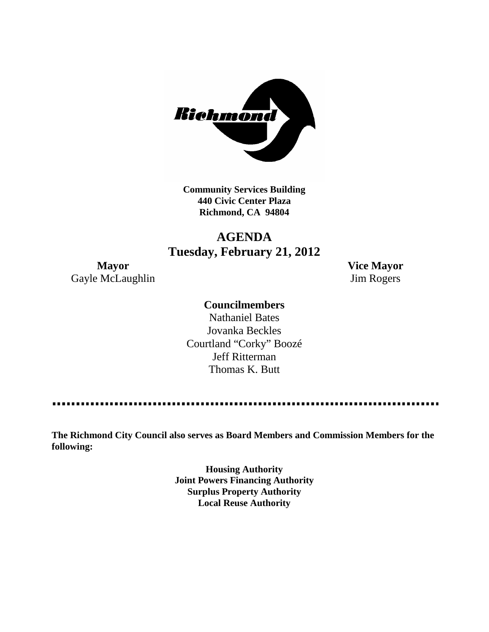

**Community Services Building 440 Civic Center Plaza Richmond, CA 94804**

## **AGENDA Tuesday, February 21, 2012**

Gayle McLaughlin Jim Rogers

**Mayor Vice Mayor**

## **Councilmembers**

Nathaniel Bates Jovanka Beckles Courtland "Corky" Boozé Jeff Ritterman Thomas K. Butt

--------------

**The Richmond City Council also serves as Board Members and Commission Members for the following:**

> **Housing Authority Joint Powers Financing Authority Surplus Property Authority Local Reuse Authority**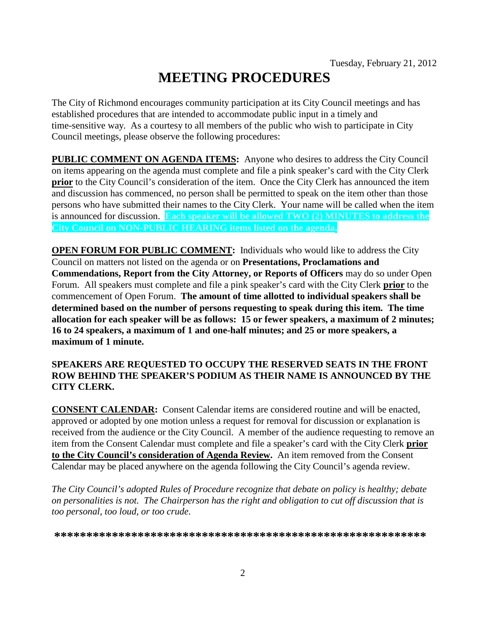# **MEETING PROCEDURES**

The City of Richmond encourages community participation at its City Council meetings and has established procedures that are intended to accommodate public input in a timely and time-sensitive way. As a courtesy to all members of the public who wish to participate in City Council meetings, please observe the following procedures:

**PUBLIC COMMENT ON AGENDA ITEMS:** Anyone who desires to address the City Council on items appearing on the agenda must complete and file a pink speaker's card with the City Clerk **prior** to the City Council's consideration of the item. Once the City Clerk has announced the item and discussion has commenced, no person shall be permitted to speak on the item other than those persons who have submitted their names to the City Clerk. Your name will be called when the item is announced for discussion. **Each speaker will be allowed TWO (2) MINUTES to address the City Council on NON-PUBLIC HEARING items listed on the agenda.**

**OPEN FORUM FOR PUBLIC COMMENT:** Individuals who would like to address the City Council on matters not listed on the agenda or on **Presentations, Proclamations and Commendations, Report from the City Attorney, or Reports of Officers** may do so under Open Forum. All speakers must complete and file a pink speaker's card with the City Clerk **prior** to the commencement of Open Forum. **The amount of time allotted to individual speakers shall be determined based on the number of persons requesting to speak during this item. The time allocation for each speaker will be as follows: 15 or fewer speakers, a maximum of 2 minutes; 16 to 24 speakers, a maximum of 1 and one-half minutes; and 25 or more speakers, a maximum of 1 minute.**

#### **SPEAKERS ARE REQUESTED TO OCCUPY THE RESERVED SEATS IN THE FRONT ROW BEHIND THE SPEAKER'S PODIUM AS THEIR NAME IS ANNOUNCED BY THE CITY CLERK.**

**CONSENT CALENDAR:** Consent Calendar items are considered routine and will be enacted, approved or adopted by one motion unless a request for removal for discussion or explanation is received from the audience or the City Council. A member of the audience requesting to remove an item from the Consent Calendar must complete and file a speaker's card with the City Clerk **prior to the City Council's consideration of Agenda Review.** An item removed from the Consent Calendar may be placed anywhere on the agenda following the City Council's agenda review.

*The City Council's adopted Rules of Procedure recognize that debate on policy is healthy; debate on personalities is not. The Chairperson has the right and obligation to cut off discussion that is too personal, too loud, or too crude.*

**\*\*\*\*\*\*\*\*\*\*\*\*\*\*\*\*\*\*\*\*\*\*\*\*\*\*\*\*\*\*\*\*\*\*\*\*\*\*\*\*\*\*\*\*\*\*\*\*\*\*\*\*\*\*\*\*\*\***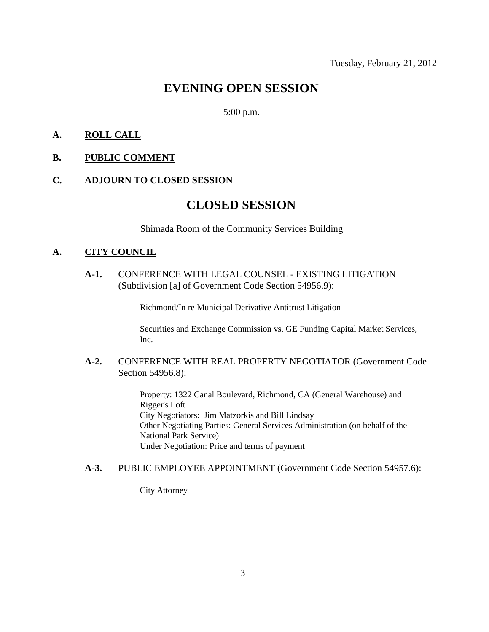## **EVENING OPEN SESSION**

#### 5:00 p.m.

#### **A. ROLL CALL**

#### **B. PUBLIC COMMENT**

#### **C. ADJOURN TO CLOSED SESSION**

## **CLOSED SESSION**

Shimada Room of the Community Services Building

#### **A. CITY COUNCIL**

**A-1.** CONFERENCE WITH LEGAL COUNSEL - EXISTING LITIGATION (Subdivision [a] of Government Code Section 54956.9):

Richmond/In re Municipal Derivative Antitrust Litigation

Securities and Exchange Commission vs. GE Funding Capital Market Services, Inc.

#### **A-2.** CONFERENCE WITH REAL PROPERTY NEGOTIATOR (Government Code Section 54956.8):

Property: 1322 Canal Boulevard, Richmond, CA (General Warehouse) and Rigger's Loft City Negotiators: Jim Matzorkis and Bill Lindsay Other Negotiating Parties: General Services Administration (on behalf of the National Park Service) Under Negotiation: Price and terms of payment

#### **A-3.** PUBLIC EMPLOYEE APPOINTMENT (Government Code Section 54957.6):

City Attorney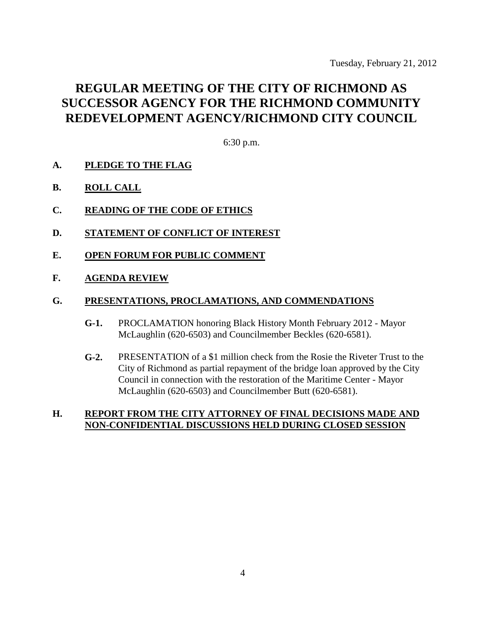## **REGULAR MEETING OF THE CITY OF RICHMOND AS SUCCESSOR AGENCY FOR THE RICHMOND COMMUNITY REDEVELOPMENT AGENCY/RICHMOND CITY COUNCIL**

6:30 p.m.

- **A. PLEDGE TO THE FLAG**
- **B. ROLL CALL**
- **C. READING OF THE CODE OF ETHICS**
- **D. STATEMENT OF CONFLICT OF INTEREST**
- **E. OPEN FORUM FOR PUBLIC COMMENT**
- **F. AGENDA REVIEW**

#### **G. PRESENTATIONS, PROCLAMATIONS, AND COMMENDATIONS**

- **G-1.** PROCLAMATION honoring Black History Month February 2012 Mayor McLaughlin (620-6503) and Councilmember Beckles (620-6581).
- **G-2.** PRESENTATION of a \$1 million check from the Rosie the Riveter Trust to the City of Richmond as partial repayment of the bridge loan approved by the City Council in connection with the restoration of the Maritime Center - Mayor McLaughlin (620-6503) and Councilmember Butt (620-6581).

#### **H. REPORT FROM THE CITY ATTORNEY OF FINAL DECISIONS MADE AND NON-CONFIDENTIAL DISCUSSIONS HELD DURING CLOSED SESSION**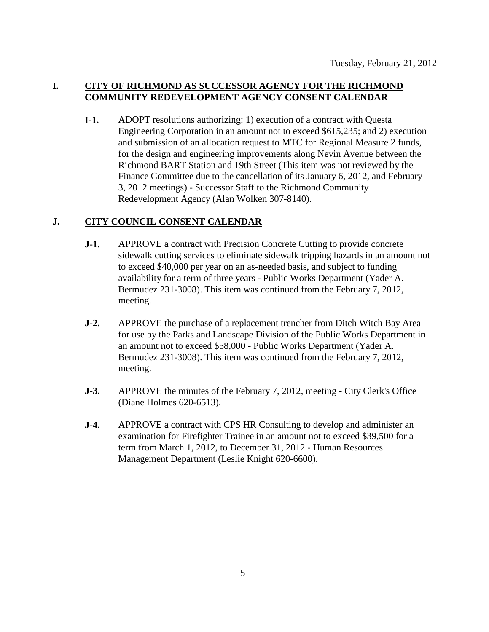### **I. CITY OF RICHMOND AS SUCCESSOR AGENCY FOR THE RICHMOND COMMUNITY REDEVELOPMENT AGENCY CONSENT CALENDAR**

**I-1.** ADOPT resolutions authorizing: 1) execution of a contract with Questa Engineering Corporation in an amount not to exceed \$615,235; and 2) execution and submission of an allocation request to MTC for Regional Measure 2 funds, for the design and engineering improvements along Nevin Avenue between the Richmond BART Station and 19th Street (This item was not reviewed by the Finance Committee due to the cancellation of its January 6, 2012, and February 3, 2012 meetings) - Successor Staff to the Richmond Community Redevelopment Agency (Alan Wolken 307-8140).

#### **J. CITY COUNCIL CONSENT CALENDAR**

- **J-1.** APPROVE a contract with Precision Concrete Cutting to provide concrete sidewalk cutting services to eliminate sidewalk tripping hazards in an amount not to exceed \$40,000 per year on an as-needed basis, and subject to funding availability for a term of three years - Public Works Department (Yader A. Bermudez 231-3008). This item was continued from the February 7, 2012, meeting.
- **J-2.** APPROVE the purchase of a replacement trencher from Ditch Witch Bay Area for use by the Parks and Landscape Division of the Public Works Department in an amount not to exceed \$58,000 - Public Works Department (Yader A. Bermudez 231-3008). This item was continued from the February 7, 2012, meeting.
- **J-3.** APPROVE the minutes of the February 7, 2012, meeting City Clerk's Office (Diane Holmes 620-6513).
- **J-4.** APPROVE a contract with CPS HR Consulting to develop and administer an examination for Firefighter Trainee in an amount not to exceed \$39,500 for a term from March 1, 2012, to December 31, 2012 - Human Resources Management Department (Leslie Knight 620-6600).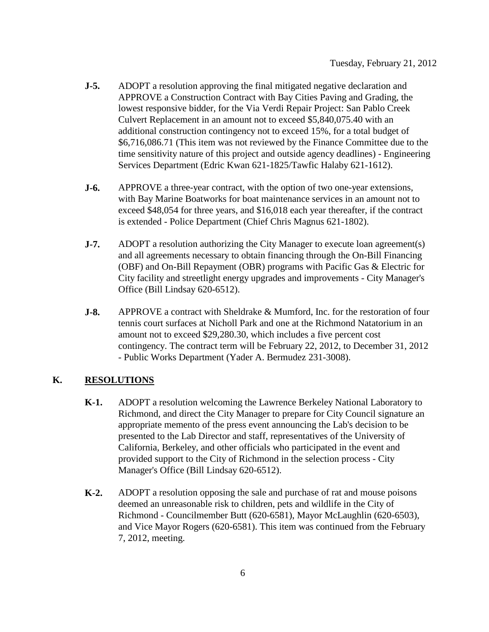- **J-5.** ADOPT a resolution approving the final mitigated negative declaration and APPROVE a Construction Contract with Bay Cities Paving and Grading, the lowest responsive bidder, for the Via Verdi Repair Project: San Pablo Creek Culvert Replacement in an amount not to exceed \$5,840,075.40 with an additional construction contingency not to exceed 15%, for a total budget of \$6,716,086.71 (This item was not reviewed by the Finance Committee due to the time sensitivity nature of this project and outside agency deadlines) - Engineering Services Department (Edric Kwan 621-1825/Tawfic Halaby 621-1612).
- **J-6.** APPROVE a three-year contract, with the option of two one-year extensions, with Bay Marine Boatworks for boat maintenance services in an amount not to exceed \$48,054 for three years, and \$16,018 each year thereafter, if the contract is extended - Police Department (Chief Chris Magnus 621-1802).
- **J-7.** ADOPT a resolution authorizing the City Manager to execute loan agreement(s) and all agreements necessary to obtain financing through the On-Bill Financing (OBF) and On-Bill Repayment (OBR) programs with Pacific Gas & Electric for City facility and streetlight energy upgrades and improvements - City Manager's Office (Bill Lindsay 620-6512).
- **J-8.** APPROVE a contract with Sheldrake & Mumford, Inc. for the restoration of four tennis court surfaces at Nicholl Park and one at the Richmond Natatorium in an amount not to exceed \$29,280.30, which includes a five percent cost contingency. The contract term will be February 22, 2012, to December 31, 2012 - Public Works Department (Yader A. Bermudez 231-3008).

### **K. RESOLUTIONS**

- **K-1.** ADOPT a resolution welcoming the Lawrence Berkeley National Laboratory to Richmond, and direct the City Manager to prepare for City Council signature an appropriate memento of the press event announcing the Lab's decision to be presented to the Lab Director and staff, representatives of the University of California, Berkeley, and other officials who participated in the event and provided support to the City of Richmond in the selection process - City Manager's Office (Bill Lindsay 620-6512).
- **K-2.** ADOPT a resolution opposing the sale and purchase of rat and mouse poisons deemed an unreasonable risk to children, pets and wildlife in the City of Richmond - Councilmember Butt (620-6581), Mayor McLaughlin (620-6503), and Vice Mayor Rogers (620-6581). This item was continued from the February 7, 2012, meeting.